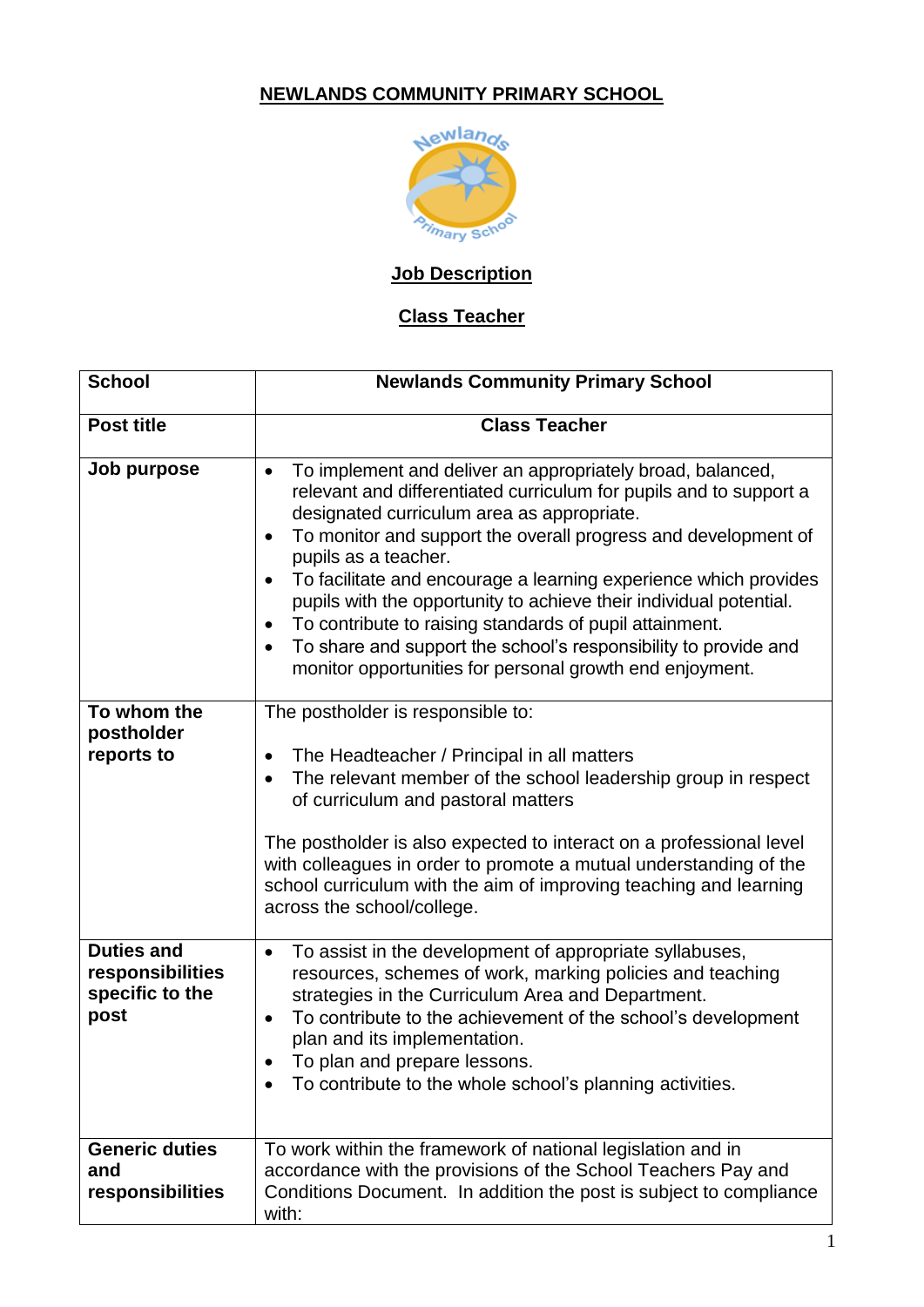# **NEWLANDS COMMUNITY PRIMARY SCHOOL**



# **Job Description**

# **Class Teacher**

| <b>School</b>                                                    | <b>Newlands Community Primary School</b>                                                                                                                                                                                                                                                                                                                                                                                                                                                                                                                                                                                                                                      |
|------------------------------------------------------------------|-------------------------------------------------------------------------------------------------------------------------------------------------------------------------------------------------------------------------------------------------------------------------------------------------------------------------------------------------------------------------------------------------------------------------------------------------------------------------------------------------------------------------------------------------------------------------------------------------------------------------------------------------------------------------------|
| <b>Post title</b>                                                | <b>Class Teacher</b>                                                                                                                                                                                                                                                                                                                                                                                                                                                                                                                                                                                                                                                          |
| Job purpose                                                      | To implement and deliver an appropriately broad, balanced,<br>$\bullet$<br>relevant and differentiated curriculum for pupils and to support a<br>designated curriculum area as appropriate.<br>To monitor and support the overall progress and development of<br>$\bullet$<br>pupils as a teacher.<br>To facilitate and encourage a learning experience which provides<br>$\bullet$<br>pupils with the opportunity to achieve their individual potential.<br>To contribute to raising standards of pupil attainment.<br>$\bullet$<br>To share and support the school's responsibility to provide and<br>$\bullet$<br>monitor opportunities for personal growth end enjoyment. |
| To whom the<br>postholder<br>reports to                          | The postholder is responsible to:<br>The Headteacher / Principal in all matters<br>$\bullet$<br>The relevant member of the school leadership group in respect<br>$\bullet$<br>of curriculum and pastoral matters<br>The postholder is also expected to interact on a professional level<br>with colleagues in order to promote a mutual understanding of the<br>school curriculum with the aim of improving teaching and learning<br>across the school/college.                                                                                                                                                                                                               |
| <b>Duties and</b><br>responsibilities<br>specific to the<br>post | To assist in the development of appropriate syllabuses,<br>$\bullet$<br>resources, schemes of work, marking policies and teaching<br>strategies in the Curriculum Area and Department.<br>To contribute to the achievement of the school's development<br>$\bullet$<br>plan and its implementation.<br>To plan and prepare lessons<br>$\bullet$<br>To contribute to the whole school's planning activities.                                                                                                                                                                                                                                                                   |
| <b>Generic duties</b><br>and<br>responsibilities                 | To work within the framework of national legislation and in<br>accordance with the provisions of the School Teachers Pay and<br>Conditions Document. In addition the post is subject to compliance<br>with:                                                                                                                                                                                                                                                                                                                                                                                                                                                                   |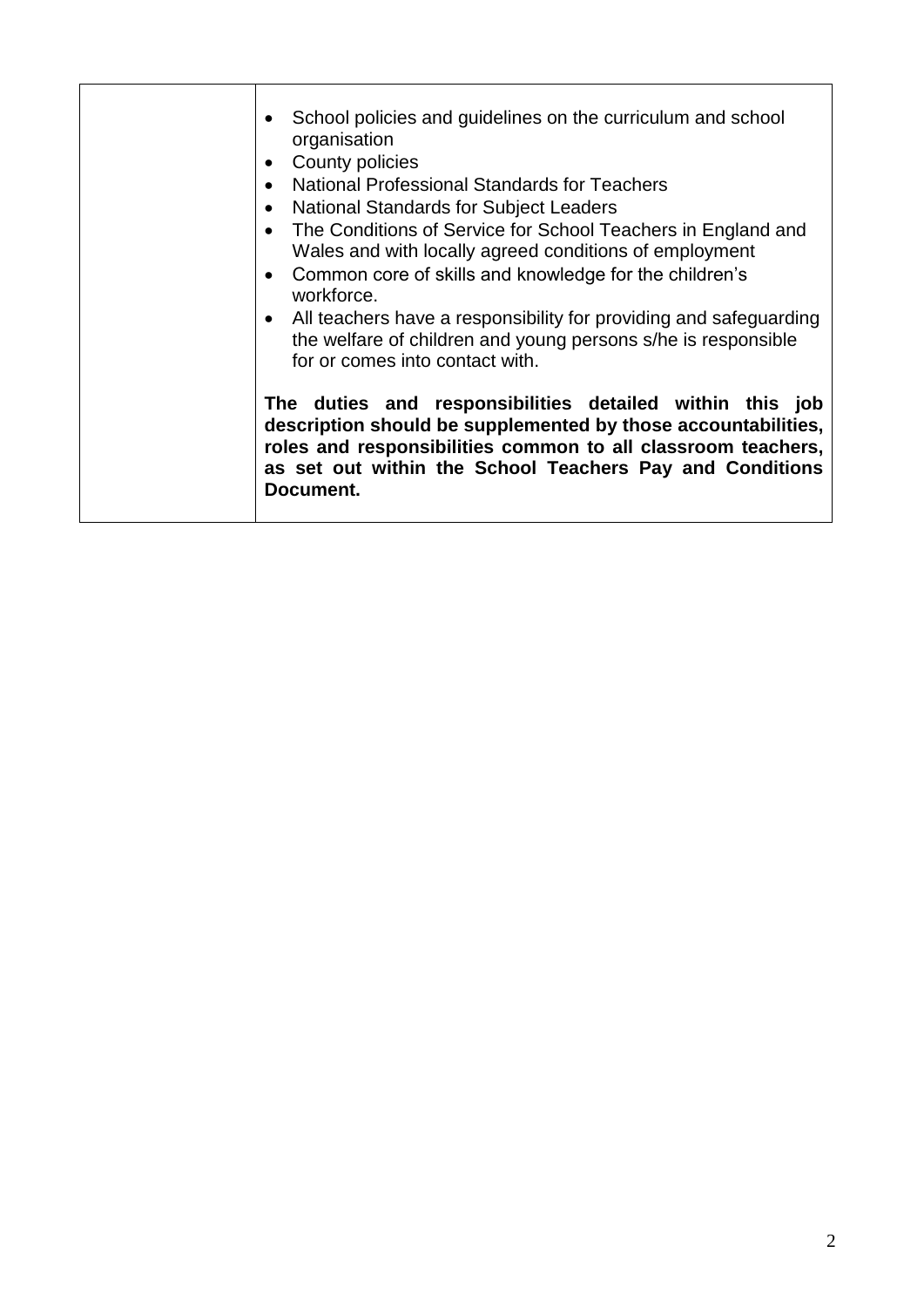| School policies and guidelines on the curriculum and school<br>organisation<br>County policies<br><b>National Professional Standards for Teachers</b><br>National Standards for Subject Leaders<br>The Conditions of Service for School Teachers in England and<br>Wales and with locally agreed conditions of employment<br>Common core of skills and knowledge for the children's<br>workforce.<br>All teachers have a responsibility for providing and safeguarding<br>the welfare of children and young persons s/he is responsible<br>for or comes into contact with. |
|----------------------------------------------------------------------------------------------------------------------------------------------------------------------------------------------------------------------------------------------------------------------------------------------------------------------------------------------------------------------------------------------------------------------------------------------------------------------------------------------------------------------------------------------------------------------------|
| The duties and responsibilities detailed within this job<br>description should be supplemented by those accountabilities,<br>roles and responsibilities common to all classroom teachers,<br>as set out within the School Teachers Pay and Conditions<br>Document.                                                                                                                                                                                                                                                                                                         |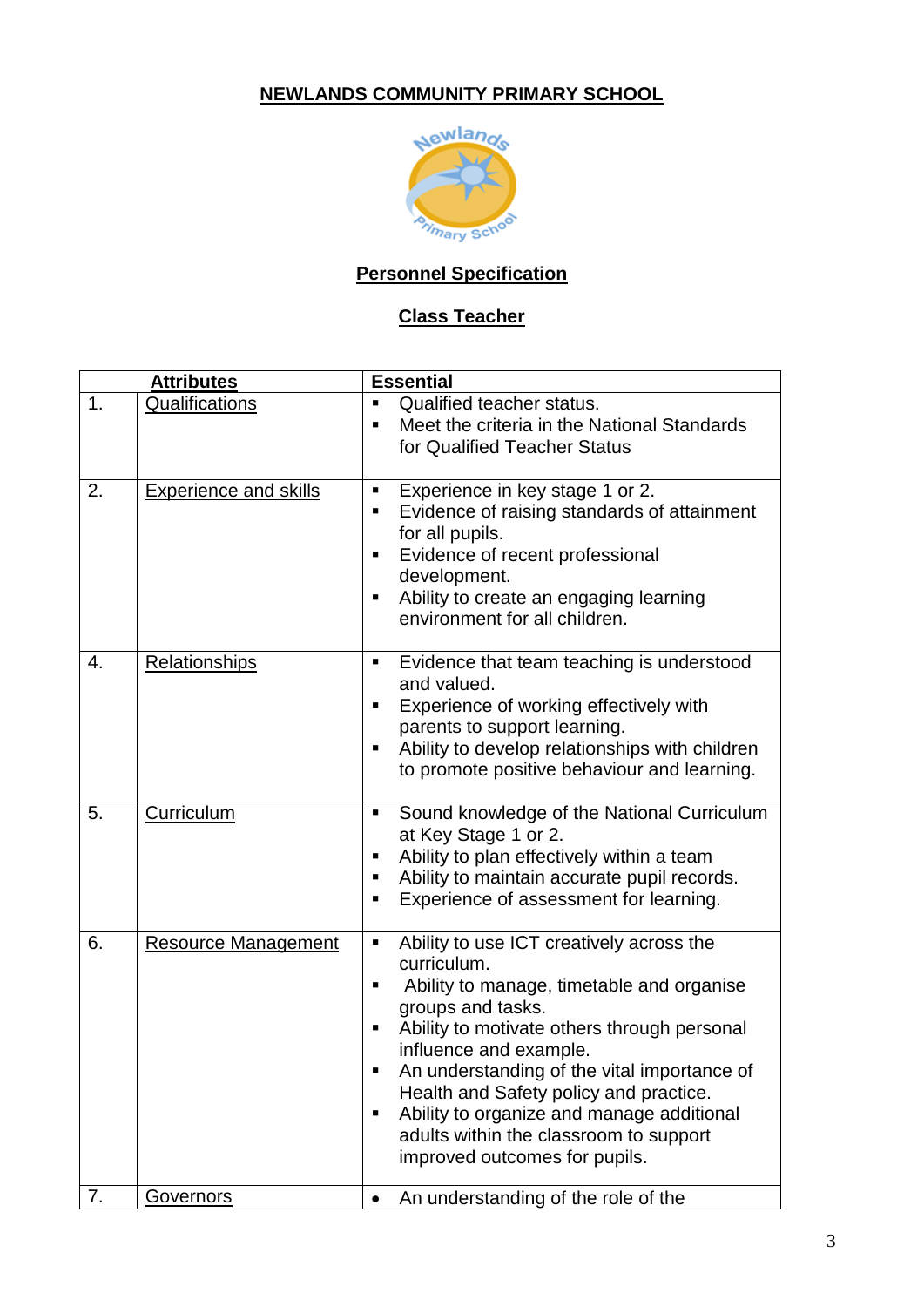# **NEWLANDS COMMUNITY PRIMARY SCHOOL**



# **Personnel Specification**

# **Class Teacher**

| <b>Attributes</b> |                              | <b>Essential</b>                                                                                                                                                                                                                                                                                                                                                                                                                             |
|-------------------|------------------------------|----------------------------------------------------------------------------------------------------------------------------------------------------------------------------------------------------------------------------------------------------------------------------------------------------------------------------------------------------------------------------------------------------------------------------------------------|
| 1.                | Qualifications               | Qualified teacher status.<br>П<br>Meet the criteria in the National Standards<br>п<br>for Qualified Teacher Status                                                                                                                                                                                                                                                                                                                           |
| 2.                | <b>Experience and skills</b> | Experience in key stage 1 or 2.<br>п<br>Evidence of raising standards of attainment<br>П<br>for all pupils.<br>Evidence of recent professional<br>Е<br>development.<br>Ability to create an engaging learning<br>п<br>environment for all children.                                                                                                                                                                                          |
| 4.                | <b>Relationships</b>         | Evidence that team teaching is understood<br>٠<br>and valued.<br>Experience of working effectively with<br>п<br>parents to support learning.<br>Ability to develop relationships with children<br>to promote positive behaviour and learning.                                                                                                                                                                                                |
| 5.                | Curriculum                   | Sound knowledge of the National Curriculum<br>п<br>at Key Stage 1 or 2.<br>Ability to plan effectively within a team<br>п<br>Ability to maintain accurate pupil records.<br>п<br>Experience of assessment for learning.<br>п                                                                                                                                                                                                                 |
| 6.                | <b>Resource Management</b>   | Ability to use ICT creatively across the<br>Ξ<br>curriculum.<br>Ability to manage, timetable and organise<br>п<br>groups and tasks.<br>Ability to motivate others through personal<br>п<br>influence and example.<br>An understanding of the vital importance of<br>п<br>Health and Safety policy and practice.<br>Ability to organize and manage additional<br>п<br>adults within the classroom to support<br>improved outcomes for pupils. |
| 7.                | Governors                    | An understanding of the role of the<br>٠                                                                                                                                                                                                                                                                                                                                                                                                     |